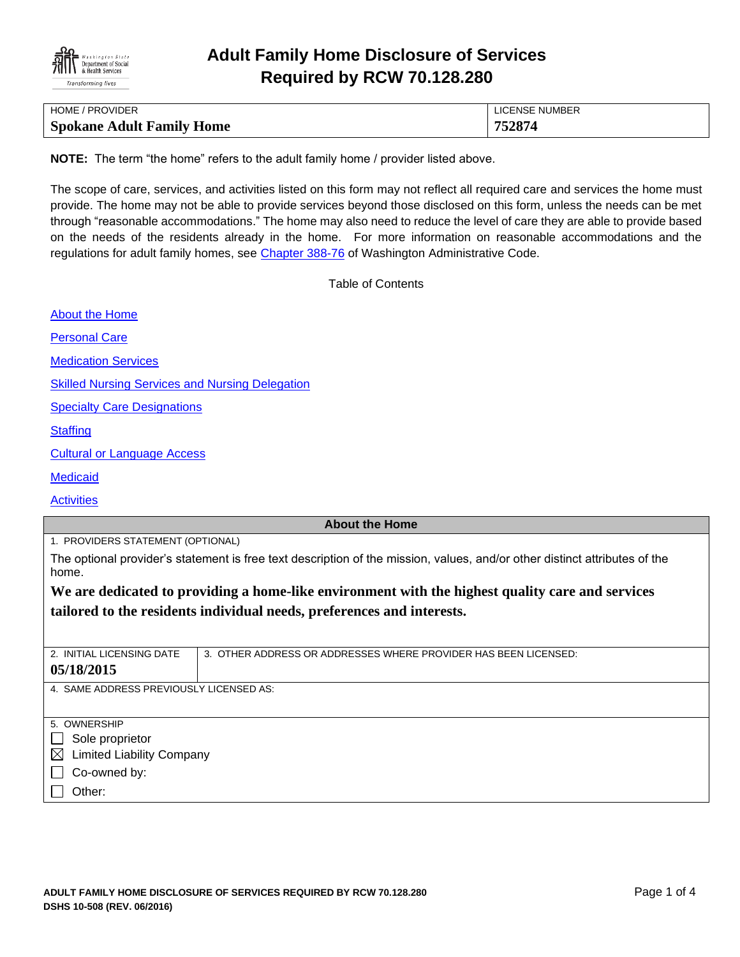

# **Adult Family Home Disclosure of Services Required by RCW 70.128.280**

| HOME / PROVIDER                  | LICENSE NUMBER |
|----------------------------------|----------------|
| <b>Spokane Adult Family Home</b> | 752874         |

**NOTE:** The term "the home" refers to the adult family home / provider listed above.

The scope of care, services, and activities listed on this form may not reflect all required care and services the home must provide. The home may not be able to provide services beyond those disclosed on this form, unless the needs can be met through "reasonable accommodations." The home may also need to reduce the level of care they are able to provide based on the needs of the residents already in the home. For more information on reasonable accommodations and the regulations for adult family homes, see [Chapter 388-76](http://apps.leg.wa.gov/WAC/default.aspx?cite=388-76) of Washington Administrative Code.

Table of Contents

[About the Home](#page-0-0)

[Personal Care](#page-1-0)

[Medication Services](#page-1-1)

[Skilled Nursing Services and Nursing Delegation](#page-2-0)

[Specialty Care Designations](#page-2-1)

**[Staffing](#page-2-2)** 

[Cultural or Language Access](#page-3-0)

**[Medicaid](#page-3-1)** 

**[Activities](#page-3-2)** 

## <span id="page-0-0"></span>**About the Home**

1. PROVIDERS STATEMENT (OPTIONAL)

The optional provider's statement is free text description of the mission, values, and/or other distinct attributes of the home.

**We are dedicated to providing a home-like environment with the highest quality care and services tailored to the residents individual needs, preferences and interests.**

| 2. INITIAL LICENSING DATE                       | 3. OTHER ADDRESS OR ADDRESSES WHERE PROVIDER HAS BEEN LICENSED: |  |
|-------------------------------------------------|-----------------------------------------------------------------|--|
| 05/18/2015                                      |                                                                 |  |
| 4. SAME ADDRESS PREVIOUSLY LICENSED AS:         |                                                                 |  |
|                                                 |                                                                 |  |
|                                                 |                                                                 |  |
| 5. OWNERSHIP                                    |                                                                 |  |
| Sole proprietor                                 |                                                                 |  |
| <b>Limited Liability Company</b><br>$\boxtimes$ |                                                                 |  |
| Co-owned by:                                    |                                                                 |  |
|                                                 |                                                                 |  |
| Other:                                          |                                                                 |  |
|                                                 |                                                                 |  |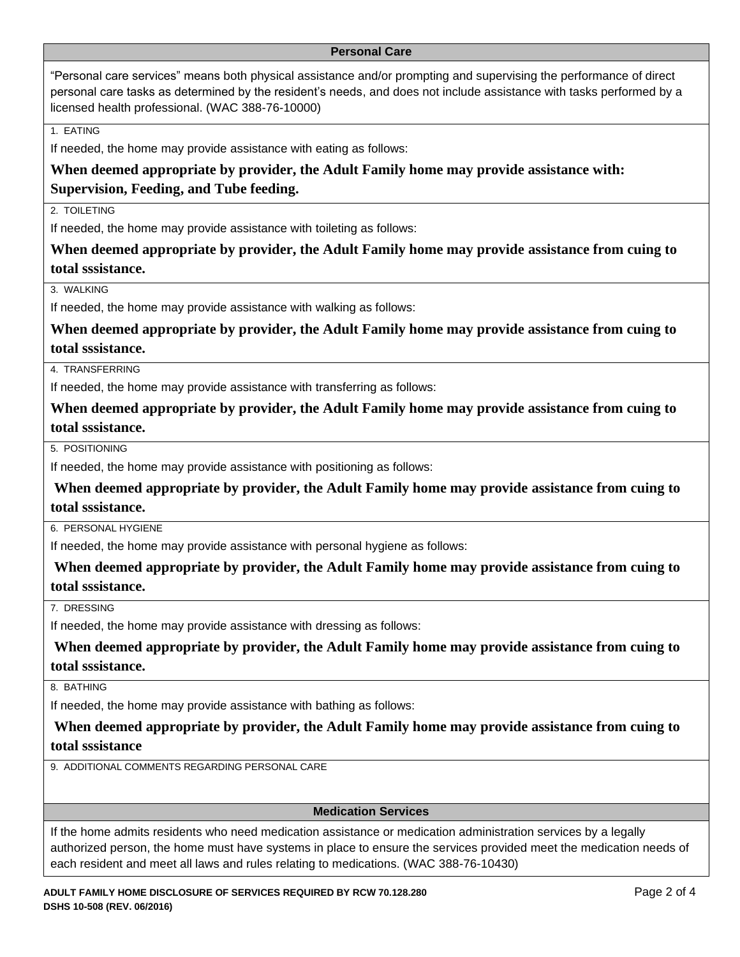### <span id="page-1-0"></span>**Personal Care**

"Personal care services" means both physical assistance and/or prompting and supervising the performance of direct personal care tasks as determined by the resident's needs, and does not include assistance with tasks performed by a licensed health professional. (WAC 388-76-10000)

1. EATING

If needed, the home may provide assistance with eating as follows:

## **When deemed appropriate by provider, the Adult Family home may provide assistance with: Supervision, Feeding, and Tube feeding.**

2. TOIL FTING

If needed, the home may provide assistance with toileting as follows:

**When deemed appropriate by provider, the Adult Family home may provide assistance from cuing to total sssistance.**

3. WALKING

If needed, the home may provide assistance with walking as follows:

**When deemed appropriate by provider, the Adult Family home may provide assistance from cuing to total sssistance.**

4. TRANSFERRING

If needed, the home may provide assistance with transferring as follows:

**When deemed appropriate by provider, the Adult Family home may provide assistance from cuing to total sssistance.**

5. POSITIONING

If needed, the home may provide assistance with positioning as follows:

**When deemed appropriate by provider, the Adult Family home may provide assistance from cuing to total sssistance.**

6. PERSONAL HYGIENE

If needed, the home may provide assistance with personal hygiene as follows:

**When deemed appropriate by provider, the Adult Family home may provide assistance from cuing to total sssistance.**

7. DRESSING

If needed, the home may provide assistance with dressing as follows:

**When deemed appropriate by provider, the Adult Family home may provide assistance from cuing to total sssistance.**

8. BATHING

If needed, the home may provide assistance with bathing as follows:

**When deemed appropriate by provider, the Adult Family home may provide assistance from cuing to total sssistance**

9. ADDITIONAL COMMENTS REGARDING PERSONAL CARE

<span id="page-1-1"></span>**Medication Services**

If the home admits residents who need medication assistance or medication administration services by a legally authorized person, the home must have systems in place to ensure the services provided meet the medication needs of each resident and meet all laws and rules relating to medications. (WAC 388-76-10430)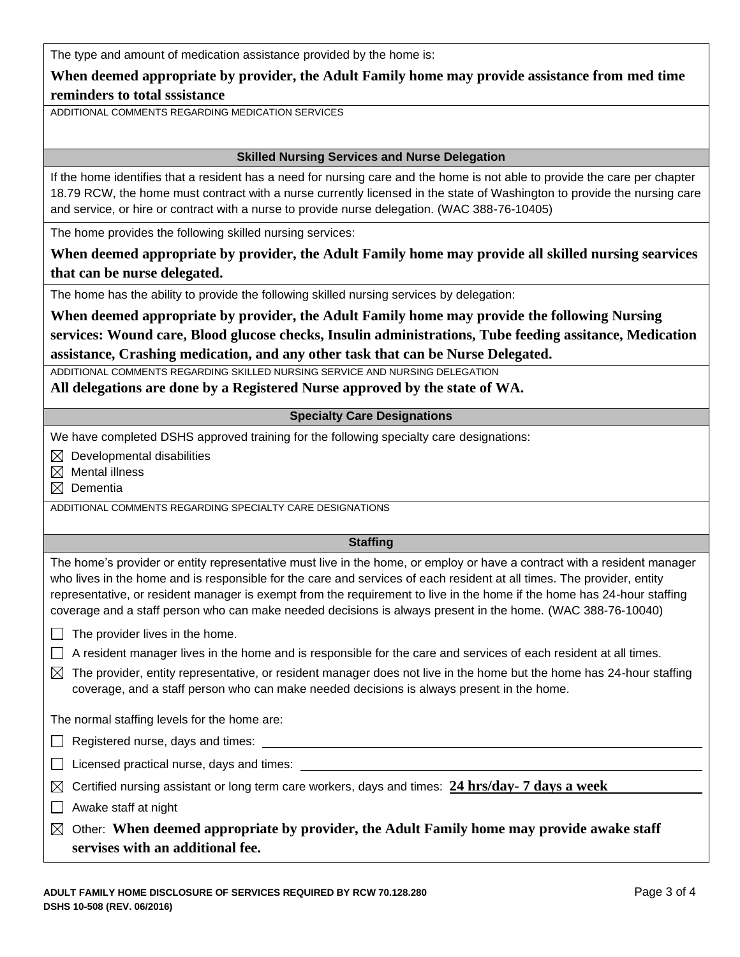The type and amount of medication assistance provided by the home is:

## **When deemed appropriate by provider, the Adult Family home may provide assistance from med time reminders to total sssistance**

ADDITIONAL COMMENTS REGARDING MEDICATION SERVICES

### <span id="page-2-0"></span>**Skilled Nursing Services and Nurse Delegation**

If the home identifies that a resident has a need for nursing care and the home is not able to provide the care per chapter 18.79 RCW, the home must contract with a nurse currently licensed in the state of Washington to provide the nursing care and service, or hire or contract with a nurse to provide nurse delegation. (WAC 388-76-10405)

The home provides the following skilled nursing services:

**When deemed appropriate by provider, the Adult Family home may provide all skilled nursing searvices that can be nurse delegated.** 

The home has the ability to provide the following skilled nursing services by delegation:

**When deemed appropriate by provider, the Adult Family home may provide the following Nursing services: Wound care, Blood glucose checks, Insulin administrations, Tube feeding assitance, Medication assistance, Crashing medication, and any other task that can be Nurse Delegated.**

ADDITIONAL COMMENTS REGARDING SKILLED NURSING SERVICE AND NURSING DELEGATION

**All delegations are done by a Registered Nurse approved by the state of WA.**

## <span id="page-2-1"></span>**Specialty Care Designations**

We have completed DSHS approved training for the following specialty care designations:

 $\boxtimes$  Developmental disabilities

 $\boxtimes$  Mental illness

 $\boxtimes$  Dementia

ADDITIONAL COMMENTS REGARDING SPECIALTY CARE DESIGNATIONS

## <span id="page-2-2"></span>**Staffing**

The home's provider or entity representative must live in the home, or employ or have a contract with a resident manager who lives in the home and is responsible for the care and services of each resident at all times. The provider, entity representative, or resident manager is exempt from the requirement to live in the home if the home has 24-hour staffing coverage and a staff person who can make needed decisions is always present in the home. (WAC 388-76-10040)

 $\Box$  The provider lives in the home.

 $\Box$  A resident manager lives in the home and is responsible for the care and services of each resident at all times.

 $\boxtimes$  The provider, entity representative, or resident manager does not live in the home but the home has 24-hour staffing coverage, and a staff person who can make needed decisions is always present in the home.

The normal staffing levels for the home are:

Registered nurse, days and times:

 $\Box$  Licensed practical nurse, days and times:  $\Box$ 

Certified nursing assistant or long term care workers, days and times: **24 hrs/day- 7 days a week**

 $\Box$  Awake staff at night

Other: **When deemed appropriate by provider, the Adult Family home may provide awake staff servises with an additional fee.**